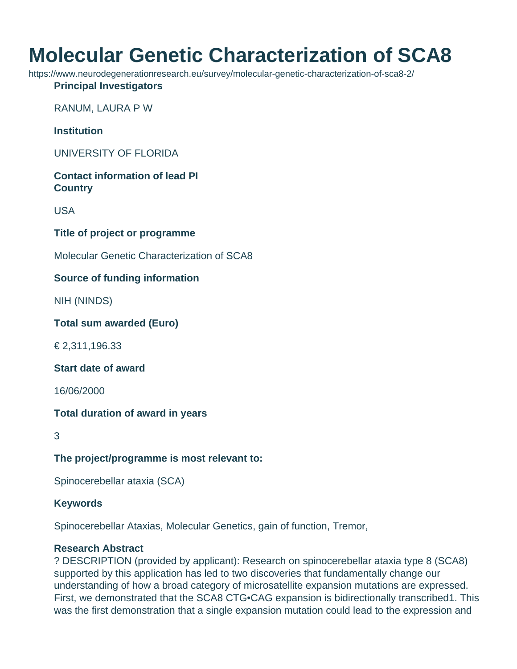# **Molecular Genetic Characterization of SCA8**

https://www.neurodegenerationresearch.eu/survey/molecular-genetic-characterization-of-sca8-2/

#### **Principal Investigators**

RANUM, LAURA P W

**Institution**

UNIVERSITY OF FLORIDA

## **Contact information of lead PI Country**

USA

### **Title of project or programme**

Molecular Genetic Characterization of SCA8

### **Source of funding information**

NIH (NINDS)

#### **Total sum awarded (Euro)**

€ 2,311,196.33

#### **Start date of award**

16/06/2000

#### **Total duration of award in years**

3

## **The project/programme is most relevant to:**

Spinocerebellar ataxia (SCA)

#### **Keywords**

Spinocerebellar Ataxias, Molecular Genetics, gain of function, Tremor,

#### **Research Abstract**

? DESCRIPTION (provided by applicant): Research on spinocerebellar ataxia type 8 (SCA8) supported by this application has led to two discoveries that fundamentally change our understanding of how a broad category of microsatellite expansion mutations are expressed. First, we demonstrated that the SCA8 CTG•CAG expansion is bidirectionally transcribed1. This was the first demonstration that a single expansion mutation could lead to the expression and